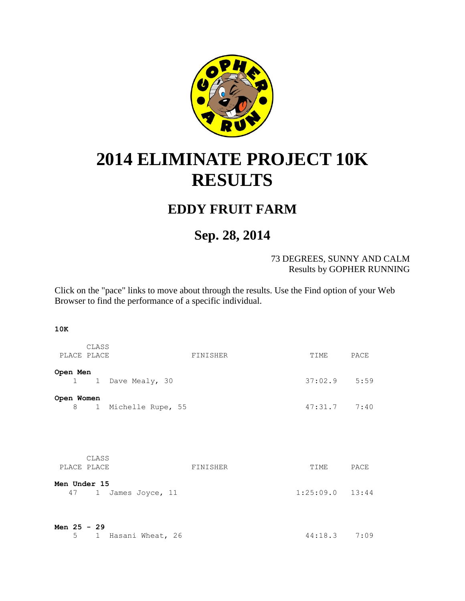

## <span id="page-0-0"></span>**2014 ELIMINATE PROJECT 10K RESULTS**

## **EDDY FRUIT FARM**

## **Sep. 28, 2014**

73 DEGREES, SUNNY AND CALM Results by GOPHER RUNNING

Click on the "pace" links to move about through the results. Use the Find option of your Web Browser to find the performance of a specific individual.

## **10K**

| PLACE PLACE                  | CLASS                | FINISHER | TIME PACE           |      |
|------------------------------|----------------------|----------|---------------------|------|
| Open Men                     | 1 1 Dave Mealy, 30   |          | $37:02.9$ 5:59      |      |
| Open Women<br>8              | 1 Michelle Rupe, 55  |          | $47:31.7$ $7:40$    |      |
| PLACE PLACE                  | CLASS                | FINISHER | TIME                | PACE |
| Men Under 15                 | 47 1 James Joyce, 11 |          | $1:25:09.0$ $13:44$ |      |
| Men $25 - 29$<br>$5^{\circ}$ | 1 Hasani Wheat, 26   |          | $44:18.3$ 7:09      |      |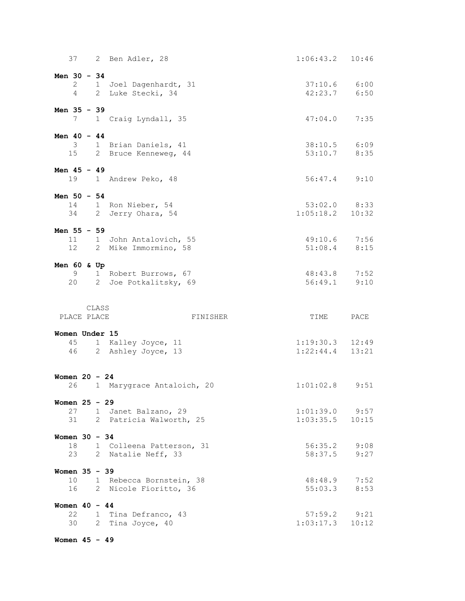|                 | 37       |       | 2 Ben Adler, 28                                  | $1:06:43.2$ 10:46             |              |
|-----------------|----------|-------|--------------------------------------------------|-------------------------------|--------------|
| Men $30 - 34$   |          |       |                                                  |                               |              |
|                 |          |       | 2 1 Joel Dagenhardt, 31                          | $37:10.6$ 6:00                |              |
|                 | 4        |       | 2 Luke Stecki, 34                                | 42:23.7 6:50                  |              |
| Men 35 - 39     |          |       |                                                  |                               |              |
|                 |          |       | 7 1 Craig Lyndall, 35                            | 47:04.0                       | 7:35         |
| Men $40 - 44$   |          |       |                                                  |                               |              |
|                 |          |       | 3 1 Brian Daniels, 41                            | 38:10.5 6:09                  |              |
|                 | 15       |       | 2 Bruce Kenneweg, 44                             | 53:10.7                       | 8:35         |
| Men 45 - 49     |          |       |                                                  |                               |              |
|                 |          |       | 19 1 Andrew Peko, 48                             | $56:47.4$ 9:10                |              |
| Men $50 - 54$   |          |       |                                                  |                               |              |
|                 |          |       | 14 1 Ron Nieber, 54                              | $53:02.0$ 8:33                |              |
|                 |          |       | 34 2 Jerry Ohara, 54                             | $1:05:18.2$ 10:32             |              |
| Men 55 - 59     |          |       |                                                  |                               |              |
|                 |          |       | 11 1 John Antalovich, 55                         | 49:10.6 7:56                  |              |
|                 | 12       |       | 2 Mike Immormino, 58                             | 51:08.4                       | 8:15         |
| Men $60$ & Up   |          |       |                                                  |                               |              |
|                 | 9        |       | 1 Robert Burrows, 67                             | 48:43.8 7:52                  |              |
|                 | 20       |       | 2 Joe Potkalitsky, 69                            | 56:49.1                       | 9:10         |
|                 |          |       |                                                  |                               |              |
|                 |          |       |                                                  |                               |              |
|                 |          | CLASS |                                                  |                               |              |
| PLACE PLACE     |          |       | FINISHER                                         | TIME                          | PACE         |
| Women Under 15  |          |       |                                                  |                               |              |
|                 |          |       | 45 1 Kalley Joyce, 11                            | $1:19:30.3$ $12:49$           |              |
|                 |          |       | 46 2 Ashley Joyce, 13                            | 1:22:44.4                     | 13:21        |
|                 |          |       |                                                  |                               |              |
| Women $20 - 24$ | 26       |       |                                                  |                               |              |
|                 |          |       | 1 Marygrace Antaloich, 20                        | $1:01:02.8$ 9:51              |              |
| Women $25 - 29$ |          |       |                                                  |                               |              |
|                 | 27<br>31 |       | 1 Janet Balzano, 29                              | $1:01:39.0$ 9:57              |              |
|                 |          |       | 2 Patricia Walworth, 25                          | 1:03:35.5                     | 10:15        |
| Women $30 - 34$ |          |       |                                                  |                               |              |
|                 | 18<br>23 |       | 1 Colleena Patterson, 31<br>2 Natalie Neff, 33   | 56:35.2<br>58:37.5            | 9:08<br>9:27 |
|                 |          |       |                                                  |                               |              |
| Women 35 - 39   |          |       |                                                  |                               |              |
|                 | 10<br>16 |       | 1 Rebecca Bornstein, 38<br>2 Nicole Fioritto, 36 | 48:48.9<br>55:03.3            | 7:52<br>8:53 |
|                 |          |       |                                                  |                               |              |
| Women $40 - 44$ |          |       |                                                  |                               |              |
|                 | 22<br>30 |       | 1 Tina Defranco, 43<br>2 Tina Joyce, 40          | $57:59.2$ $9:21$<br>1:03:17.3 | 10:12        |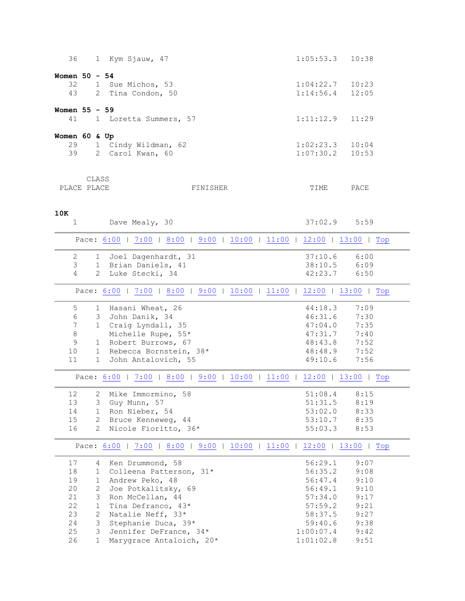<span id="page-2-3"></span><span id="page-2-2"></span><span id="page-2-1"></span><span id="page-2-0"></span>

| 36              |       |              | 1 Kym Sjauw, 47                                                       | 1:05:53.3      | 10:38 |
|-----------------|-------|--------------|-----------------------------------------------------------------------|----------------|-------|
|                 |       |              |                                                                       |                |       |
| Women $50 - 54$ |       |              |                                                                       |                |       |
| 32              |       |              | 1 Sue Michos, 53                                                      | 1:04:22.7      | 10:23 |
| 43              |       |              | 2 Tina Condon, 50                                                     | 1:14:56.4      | 12:05 |
|                 |       |              |                                                                       |                |       |
| Women 55 - 59   |       |              |                                                                       |                |       |
| 41              |       |              | 1 Loretta Summers, 57                                                 | 1:11:12.9      | 11:29 |
|                 |       |              |                                                                       |                |       |
| Women 60 & Up   |       |              |                                                                       |                |       |
| 29              |       |              | 1 Cindy Wildman, 62                                                   | 1:02:23.3      | 10:04 |
| 39              |       |              | 2 Carol Kwan, 60                                                      | 1:07:30.2      | 10:53 |
|                 |       |              |                                                                       |                |       |
|                 | CLASS |              |                                                                       |                |       |
| PLACE PLACE     |       |              | FINISHER                                                              | TIME           | PACE  |
|                 |       |              |                                                                       |                |       |
|                 |       |              |                                                                       |                |       |
| 10K             |       |              |                                                                       |                |       |
| $\mathbf{1}$    |       |              | Dave Mealy, 30                                                        | $37:02.9$ 5:59 |       |
|                 |       |              |                                                                       |                |       |
|                 |       |              | Pace: 6:00   7:00   8:00   9:00   10:00   11:00   12:00   13:00   Top |                |       |
|                 |       |              |                                                                       |                |       |
| $\mathbf{2}$    |       |              | 1 Joel Dagenhardt, 31                                                 | 37:10.6        | 6:00  |
| 3               |       |              | 1 Brian Daniels, 41                                                   | 38:10.5        | 6:09  |
| 4               |       |              | 2 Luke Stecki, 34                                                     | 42:23.7        | 6:50  |
|                 |       |              | Pace: 6:00   7:00   8:00   9:00   10:00   11:00   12:00   13:00   Top |                |       |
|                 |       |              |                                                                       |                |       |
| 5               |       |              | 1 Hasani Wheat, 26                                                    | 44:18.3        | 7:09  |
| $\epsilon$      |       |              | 3 John Danik, 34                                                      | 46:31.6        | 7:30  |
| 7               |       |              | 1 Craig Lyndall, 35                                                   | 47:04.0        | 7:35  |
| $\,8\,$         |       |              | Michelle Rupe, 55*                                                    | 47:31.7        | 7:40  |
| $\mathsf 9$     |       |              | 1 Robert Burrows, 67                                                  | 48:43.8        | 7:52  |
| 10              |       |              | 1 Rebecca Bornstein, 38*                                              | 48:48.9        | 7:52  |
| 11              |       |              | 1 John Antalovich, 55                                                 | 49:10.6        | 7:56  |
|                 |       |              |                                                                       |                |       |
|                 |       |              | Pace: 6:00   7:00   8:00   9:00   10:00   11:00   12:00   13:00   Top |                |       |
|                 |       |              |                                                                       |                |       |
| 12              |       |              | 2 Mike Immormino, 58                                                  | 51:08.4        | 8:15  |
| 13              |       |              | 3 Guy Munn, 57                                                        | 51:31.5        | 8:19  |
| 14              |       |              | 1 Ron Nieber, 54                                                      | 53:02.0        | 8:33  |
| 15              |       |              | 2 Bruce Kenneweg, 44                                                  | 53:10.7        | 8:35  |
| 16              |       |              | 2 Nicole Fioritto, 36*                                                | 55:03.3        | 8:53  |
|                 |       |              | Pace: 6:00   7:00   8:00   9:00   10:00   11:00   12:00   13:00   Top |                |       |
|                 |       |              |                                                                       |                |       |
| 17              |       | 4            | Ken Drummond, 58                                                      | 56:29.1        | 9:07  |
| 18              |       | 1            | Colleena Patterson, 31*                                               | 56:35.2        | 9:08  |
| 19              |       | $\mathbf{1}$ | Andrew Peko, 48                                                       | 56:47.4        | 9:10  |
| 20              |       | 2            | Joe Potkalitsky, 69                                                   | 56:49.1        | 9:10  |
| 21              |       | 3            | Ron McCellan, 44                                                      | 57:34.0        | 9:17  |
| 22              |       | 1            | Tina Defranco, 43*                                                    | 57:59.2        | 9:21  |
| 23              |       | $\mathbf{2}$ | Natalie Neff, 33*                                                     | 58:37.5        | 9:27  |
| 24              |       | 3            | Stephanie Duca, 39*                                                   | 59:40.6        | 9:38  |
| 25              |       | 3            | Jennifer DeFrance, 34*                                                | 1:00:07.4      | 9:42  |
| 26              |       | $\mathbf{1}$ | Marygrace Antaloich, 20*                                              | 1:01:02.8      | 9:51  |
|                 |       |              |                                                                       |                |       |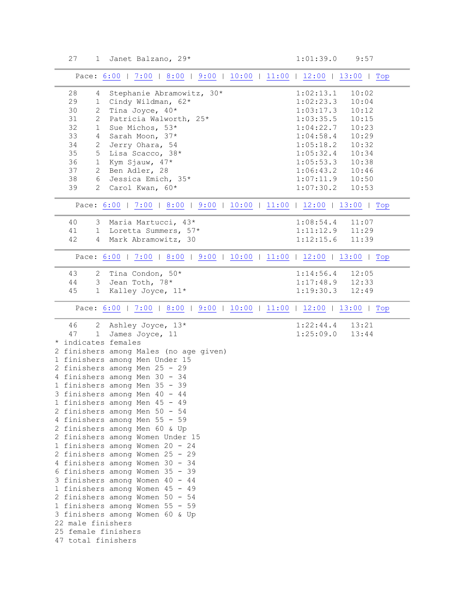<span id="page-3-3"></span><span id="page-3-2"></span><span id="page-3-1"></span><span id="page-3-0"></span>

| Pace: 6:00   7:00   8:00   9:00   10:00   11:00   12:00   13:00   Top |                    |
|-----------------------------------------------------------------------|--------------------|
| 28<br>Stephanie Abramowitz, 30*<br>4                                  | 1:02:13.1<br>10:02 |
| 29<br>Cindy Wildman, 62*<br>1                                         | 1:02:23.3<br>10:04 |
| 30<br>Tina Joyce, 40*<br>$\overline{2}$                               | 1:03:17.3<br>10:12 |
| 31<br>$\overline{2}$<br>Patricia Walworth, 25*                        | 1:03:35.5<br>10:15 |
| 32<br>Sue Michos, 53*<br>1                                            | 10:23<br>1:04:22.7 |
| 33<br>Sarah Moon, 37*<br>$\overline{4}$                               | 1:04:58.4<br>10:29 |
| 34<br>$\overline{2}$<br>Jerry Ohara, 54                               | 1:05:18.2<br>10:32 |
| Lisa Scacco, 38*<br>35<br>5 <sup>5</sup>                              | 1:05:32.4<br>10:34 |
| 36<br>$\mathbf{1}$<br>Kym Sjauw, 47*                                  | 1:05:53.3<br>10:38 |
| 37<br>$\overline{2}$<br>Ben Adler, 28                                 | 1:06:43.2<br>10:46 |
| Jessica Emich, 35*<br>38<br>6                                         | 1:07:11.9<br>10:50 |
| 39<br>$\overline{2}$<br>Carol Kwan, 60*                               | 1:07:30.2<br>10:53 |
| Pace: 6:00   7:00   8:00   9:00   10:00   11:00   12:00   13:00   Top |                    |
| Maria Martucci, 43*<br>40<br>3 <sup>7</sup>                           | 1:08:54.4<br>11:07 |
| Loretta Summers, 57*<br>41<br>$1 \quad$                               | 1:11:12.9<br>11:29 |
| Mark Abramowitz, 30<br>42<br>$\overline{4}$                           | 1:12:15.6<br>11:39 |
|                                                                       |                    |
| Pace: 6:00   7:00   8:00   9:00   10:00   11:00   12:00   13:00   Top |                    |
| 43<br>Tina Condon, 50*<br>2                                           | 1:14:56.4<br>12:05 |
| 44<br>Jean Toth, 78*<br>3                                             | 1:17:48.9<br>12:33 |
| Kalley Joyce, 11*<br>45<br>$1 \quad$                                  | 1:19:30.3<br>12:49 |
| Pace: 6:00   7:00   8:00   9:00   10:00   11:00   12:00   13:00   Top |                    |
|                                                                       |                    |
| 46<br>2 Ashley Joyce, 13*                                             | 1:22:44.4<br>13:21 |
| James Joyce, 11<br>47<br>1<br>indicates females                       | 1:25:09.0<br>13:44 |
| 2 finishers among Males (no age given)                                |                    |
| 1 finishers among Men Under 15                                        |                    |
| 2 finishers among Men 25 - 29                                         |                    |
| 4 finishers among Men 30 - 34                                         |                    |
| 1 finishers among Men 35 - 39                                         |                    |
| 3 finishers among Men 40 - 44                                         |                    |
| 1 finishers among Men 45 - 49                                         |                    |
| 2 finishers among Men 50 - 54                                         |                    |
| 4 finishers among Men 55 - 59                                         |                    |
| 2 finishers among Men 60 & Up                                         |                    |
| 2 finishers among Women Under 15                                      |                    |
| 1 finishers among Women 20 - 24                                       |                    |
| 2 finishers among Women 25 - 29                                       |                    |
| 4 finishers among Women 30 - 34                                       |                    |
| 6 finishers among Women 35 - 39                                       |                    |
| 3 finishers among Women 40 - 44                                       |                    |
| 1 finishers among Women 45 - 49                                       |                    |
| 2 finishers among Women 50 - 54                                       |                    |
| 1 finishers among Women 55 - 59                                       |                    |
| 3 finishers among Women 60 & Up                                       |                    |
| 22 male finishers<br>25 female finishers                              |                    |
| 47 total finishers                                                    |                    |
|                                                                       |                    |